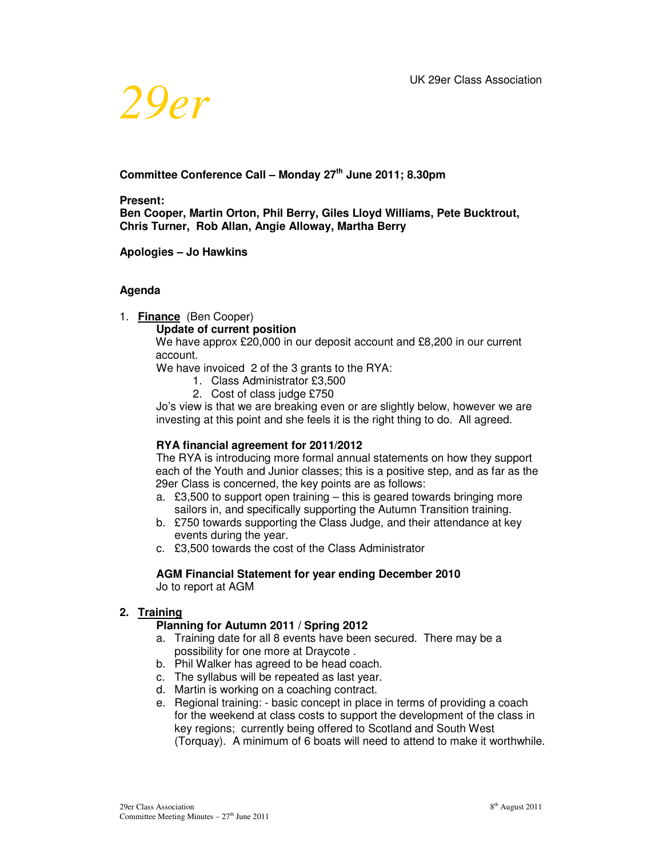

# **Committee Conference Call – Monday 27th June 2011; 8.30pm**

**Present:** 

**Ben Cooper, Martin Orton, Phil Berry, Giles Lloyd Williams, Pete Bucktrout, Chris Turner, Rob Allan, Angie Alloway, Martha Berry** 

**Apologies – Jo Hawkins** 

### **Agenda**

1. **Finance** (Ben Cooper)

# **Update of current position**

We have approx £20,000 in our deposit account and £8,200 in our current account.

We have invoiced 2 of the 3 grants to the RYA:

- 1. Class Administrator £3,500
- 2. Cost of class judge £750

Jo's view is that we are breaking even or are slightly below, however we are investing at this point and she feels it is the right thing to do. All agreed.

# **RYA financial agreement for 2011/2012**

 The RYA is introducing more formal annual statements on how they support each of the Youth and Junior classes; this is a positive step, and as far as the 29er Class is concerned, the key points are as follows:

- a. £3,500 to support open training this is geared towards bringing more sailors in, and specifically supporting the Autumn Transition training.
- b. £750 towards supporting the Class Judge, and their attendance at key events during the year.
- c. £3,500 towards the cost of the Class Administrator

#### **AGM Financial Statement for year ending December 2010**  Jo to report at AGM

# **2. Training**

# **Planning for Autumn 2011 / Spring 2012**

- a. Training date for all 8 events have been secured. There may be a possibility for one more at Draycote .
- b. Phil Walker has agreed to be head coach.
- c. The syllabus will be repeated as last year.
- d. Martin is working on a coaching contract.
- e. Regional training: basic concept in place in terms of providing a coach for the weekend at class costs to support the development of the class in key regions; currently being offered to Scotland and South West (Torquay). A minimum of 6 boats will need to attend to make it worthwhile.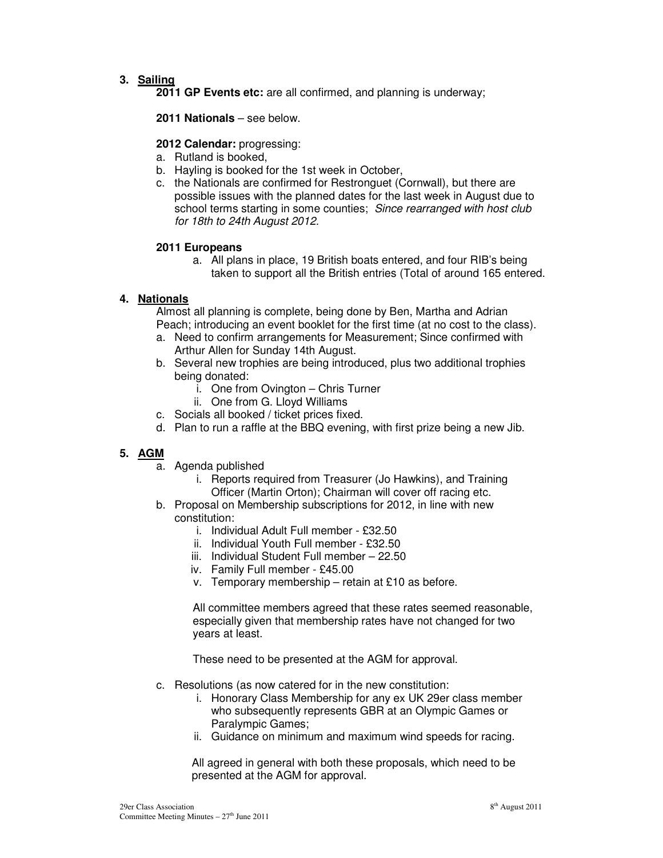# **3. Sailing**

**2011 GP Events etc:** are all confirmed, and planning is underway;

**2011 Nationals** – see below.

## **2012 Calendar:** progressing:

- a. Rutland is booked,
- b. Hayling is booked for the 1st week in October,
- c. the Nationals are confirmed for Restronguet (Cornwall), but there are possible issues with the planned dates for the last week in August due to school terms starting in some counties; *Since rearranged with host club for 18th to 24th August 2012.*

#### **2011 Europeans**

a. All plans in place, 19 British boats entered, and four RIB's being taken to support all the British entries (Total of around 165 entered.

## **4. Nationals**

Almost all planning is complete, being done by Ben, Martha and Adrian Peach; introducing an event booklet for the first time (at no cost to the class).

- a. Need to confirm arrangements for Measurement; Since confirmed with Arthur Allen for Sunday 14th August.
- b. Several new trophies are being introduced, plus two additional trophies being donated:
	- i. One from Ovington Chris Turner
	- ii. One from G. Lloyd Williams
- c. Socials all booked / ticket prices fixed.
- d. Plan to run a raffle at the BBQ evening, with first prize being a new Jib.

# **5. AGM**

- a. Agenda published
	- i. Reports required from Treasurer (Jo Hawkins), and Training Officer (Martin Orton); Chairman will cover off racing etc.
- b. Proposal on Membership subscriptions for 2012, in line with new constitution:
	- i. Individual Adult Full member £32.50
	- ii. Individual Youth Full member £32.50
	- iii. Individual Student Full member 22.50
	- iv. Family Full member £45.00
	- v. Temporary membership retain at £10 as before.

All committee members agreed that these rates seemed reasonable, especially given that membership rates have not changed for two years at least.

These need to be presented at the AGM for approval.

- c. Resolutions (as now catered for in the new constitution:
	- i. Honorary Class Membership for any ex UK 29er class member who subsequently represents GBR at an Olympic Games or Paralympic Games;
	- ii. Guidance on minimum and maximum wind speeds for racing.

All agreed in general with both these proposals, which need to be presented at the AGM for approval.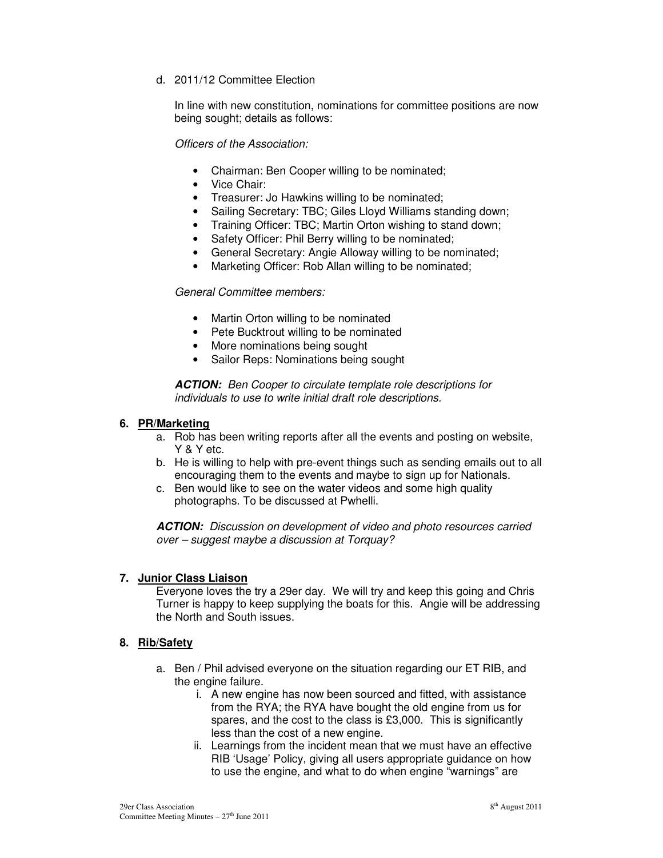d. 2011/12 Committee Election

In line with new constitution, nominations for committee positions are now being sought; details as follows:

*Officers of the Association:* 

- Chairman: Ben Cooper willing to be nominated;
- Vice Chair:
- Treasurer: Jo Hawkins willing to be nominated;
- Sailing Secretary: TBC; Giles Lloyd Williams standing down;
- Training Officer: TBC; Martin Orton wishing to stand down;
- Safety Officer: Phil Berry willing to be nominated;
- General Secretary: Angie Alloway willing to be nominated;
- Marketing Officer: Rob Allan willing to be nominated;

## *General Committee members:*

- Martin Orton willing to be nominated
- Pete Bucktrout willing to be nominated
- More nominations being sought
- Sailor Reps: Nominations being sought

**ACTION:** *Ben Cooper to circulate template role descriptions for individuals to use to write initial draft role descriptions.* 

### **6. PR/Marketing**

- a. Rob has been writing reports after all the events and posting on website, Y & Y etc.
- b. He is willing to help with pre-event things such as sending emails out to all encouraging them to the events and maybe to sign up for Nationals.
- c. Ben would like to see on the water videos and some high quality photographs. To be discussed at Pwhelli.

**ACTION:** *Discussion on development of video and photo resources carried over – suggest maybe a discussion at Torquay?* 

#### **7. Junior Class Liaison**

Everyone loves the try a 29er day. We will try and keep this going and Chris Turner is happy to keep supplying the boats for this. Angie will be addressing the North and South issues.

#### **8. Rib/Safety**

- a. Ben / Phil advised everyone on the situation regarding our ET RIB, and the engine failure.
	- i. A new engine has now been sourced and fitted, with assistance from the RYA; the RYA have bought the old engine from us for spares, and the cost to the class is £3,000. This is significantly less than the cost of a new engine.
	- ii. Learnings from the incident mean that we must have an effective RIB 'Usage' Policy, giving all users appropriate guidance on how to use the engine, and what to do when engine "warnings" are